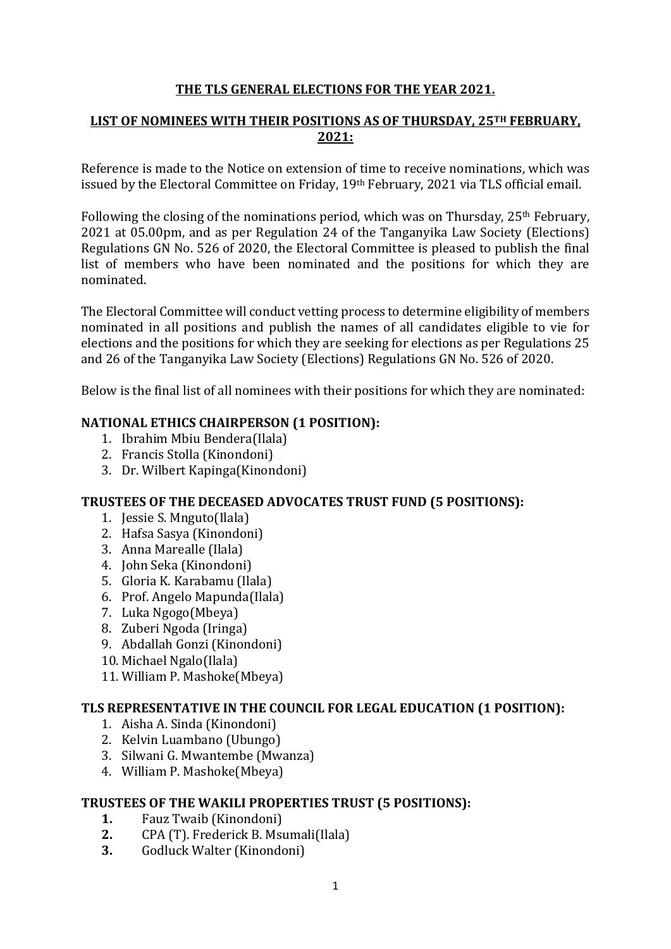# **THE TLS GENERAL ELECTIONS FOR THE YEAR 2021.**

# **LIST OF NOMINEES WITH THEIR POSITIONS AS OF THURSDAY, 25TH FEBRUARY, 2021:**

Reference is made to the Notice on extension of time to receive nominations, which was issued by the Electoral Committee on Friday, 19th February, 2021 via TLS official email.

Following the closing of the nominations period, which was on Thursday, 25th February, 2021 at 05.00pm, and as per Regulation 24 of the Tanganyika Law Society (Elections) Regulations GN No. 526 of 2020, the Electoral Committee is pleased to publish the final list of members who have been nominated and the positions for which they are nominated.

The Electoral Committee will conduct vetting process to determine eligibility of members nominated in all positions and publish the names of all candidates eligible to vie for elections and the positions for which they are seeking for elections as per Regulations 25 and 26 of the Tanganyika Law Society (Elections) Regulations GN No. 526 of 2020.

Below is the final list of all nominees with their positions for which they are nominated:

## **NATIONAL ETHICS CHAIRPERSON (1 POSITION):**

- 1. Ibrahim Mbiu Bendera(Ilala)
- 2. Francis Stolla (Kinondoni)
- 3. Dr. Wilbert Kapinga(Kinondoni)

# **TRUSTEES OF THE DECEASED ADVOCATES TRUST FUND (5 POSITIONS):**

- 1. Jessie S. Mnguto(Ilala)
- 2. Hafsa Sasya (Kinondoni)
- 3. Anna Marealle (Ilala)
- 4. John Seka (Kinondoni)
- 5. Gloria K. Karabamu (Ilala)
- 6. Prof. Angelo Mapunda(Ilala)
- 7. Luka Ngogo(Mbeya)
- 8. Zuberi Ngoda (Iringa)
- 9. Abdallah Gonzi (Kinondoni)
- 10. Michael Ngalo(Ilala)
- 11. William P. Mashoke(Mbeya)

# **TLS REPRESENTATIVE IN THE COUNCIL FOR LEGAL EDUCATION (1 POSITION):**

- 1. Aisha A. Sinda (Kinondoni)
- 2. Kelvin Luambano (Ubungo)
- 3. Silwani G. Mwantembe (Mwanza)
- 4. William P. Mashoke(Mbeya)

# **TRUSTEES OF THE WAKILI PROPERTIES TRUST (5 POSITIONS):**

- **1.** Fauz Twaib (Kinondoni)
- **2.** CPA (T). Frederick B. Msumali(Ilala)
- **3.** Godluck Walter (Kinondoni)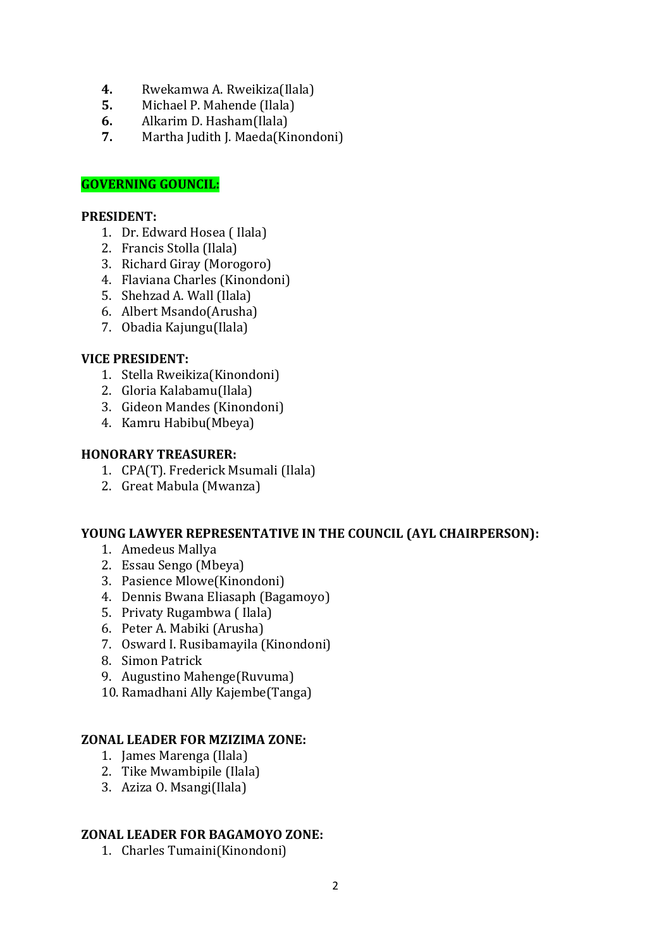- **4.** Rwekamwa A. Rweikiza(Ilala)
- **5.** Michael P. Mahende (Ilala)
- **6.** Alkarim D. Hasham(Ilala)
- **7.** Martha Judith J. Maeda(Kinondoni)

# **GOVERNING GOUNCIL:**

## **PRESIDENT:**

- 1. Dr. Edward Hosea ( Ilala)
- 2. Francis Stolla (Ilala)
- 3. Richard Giray (Morogoro)
- 4. Flaviana Charles (Kinondoni)
- 5. Shehzad A. Wall (Ilala)
- 6. Albert Msando(Arusha)
- 7. Obadia Kajungu(Ilala)

## **VICE PRESIDENT:**

- 1. Stella Rweikiza(Kinondoni)
- 2. Gloria Kalabamu(Ilala)
- 3. Gideon Mandes (Kinondoni)
- 4. Kamru Habibu(Mbeya)

## **HONORARY TREASURER:**

- 1. CPA(T). Frederick Msumali (Ilala)
- 2. Great Mabula (Mwanza)

## **YOUNG LAWYER REPRESENTATIVE IN THE COUNCIL (AYL CHAIRPERSON):**

- 1. Amedeus Mallya
- 2. Essau Sengo (Mbeya)
- 3. Pasience Mlowe(Kinondoni)
- 4. Dennis Bwana Eliasaph (Bagamoyo)
- 5. Privaty Rugambwa ( Ilala)
- 6. Peter A. Mabiki (Arusha)
- 7. Osward I. Rusibamayila (Kinondoni)
- 8. Simon Patrick
- 9. Augustino Mahenge(Ruvuma)
- 10. Ramadhani Ally Kajembe(Tanga)

## **ZONAL LEADER FOR MZIZIMA ZONE:**

- 1. James Marenga (Ilala)
- 2. Tike Mwambipile (Ilala)
- 3. Aziza O. Msangi(Ilala)

## **ZONAL LEADER FOR BAGAMOYO ZONE:**

1. Charles Tumaini(Kinondoni)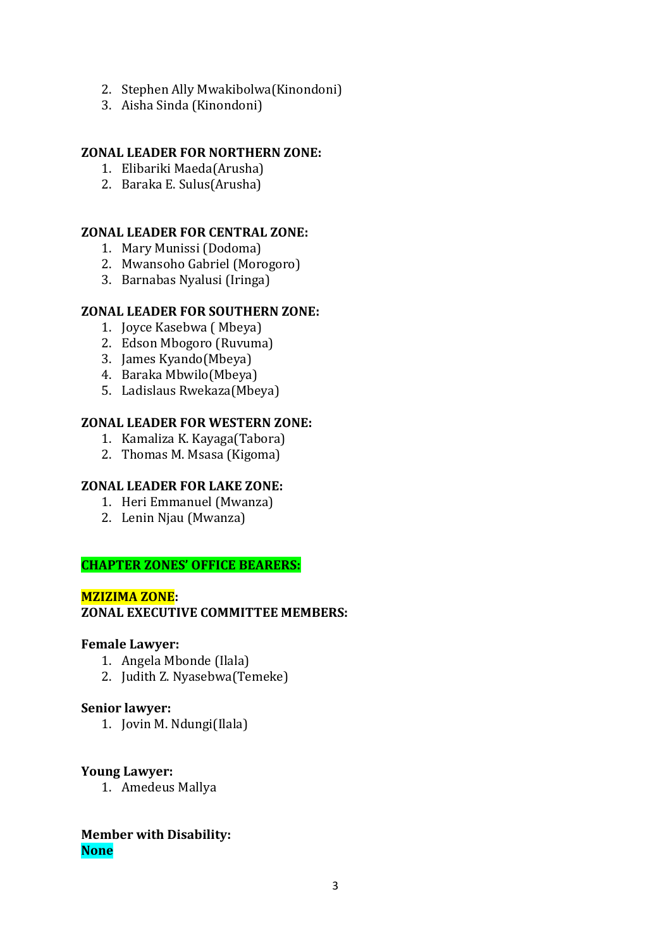- 2. Stephen Ally Mwakibolwa(Kinondoni)
- 3. Aisha Sinda (Kinondoni)

## **ZONAL LEADER FOR NORTHERN ZONE:**

- 1. Elibariki Maeda(Arusha)
- 2. Baraka E. Sulus(Arusha)

## **ZONAL LEADER FOR CENTRAL ZONE:**

- 1. Mary Munissi (Dodoma)
- 2. Mwansoho Gabriel (Morogoro)
- 3. Barnabas Nyalusi (Iringa)

## **ZONAL LEADER FOR SOUTHERN ZONE:**

- 1. Joyce Kasebwa ( Mbeya)
- 2. Edson Mbogoro (Ruvuma)
- 3. James Kyando(Mbeya)
- 4. Baraka Mbwilo(Mbeya)
- 5. Ladislaus Rwekaza(Mbeya)

#### **ZONAL LEADER FOR WESTERN ZONE:**

- 1. Kamaliza K. Kayaga(Tabora)
- 2. Thomas M. Msasa (Kigoma)

#### **ZONAL LEADER FOR LAKE ZONE:**

- 1. Heri Emmanuel (Mwanza)
- 2. Lenin Njau (Mwanza)

# **CHAPTER ZONES' OFFICE BEARERS:**

#### **MZIZIMA ZONE:**

## **ZONAL EXECUTIVE COMMITTEE MEMBERS:**

#### **Female Lawyer:**

- 1. Angela Mbonde (Ilala)
- 2. Judith Z. Nyasebwa(Temeke)

#### **Senior lawyer:**

1. Jovin M. Ndungi(Ilala)

#### **Young Lawyer:**

1. Amedeus Mallya

## **Member with Disability: None**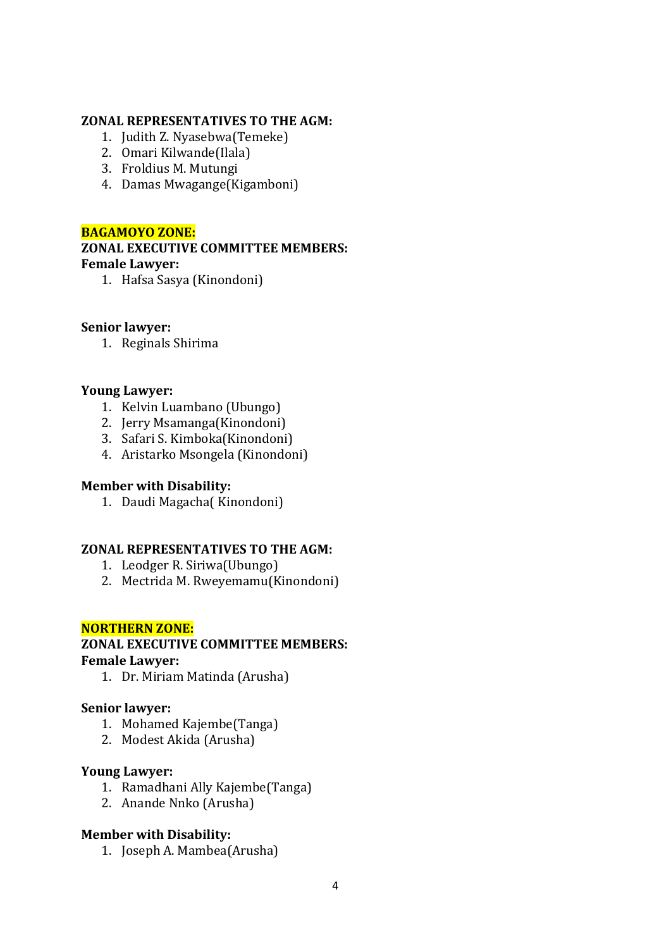# **ZONAL REPRESENTATIVES TO THE AGM:**

- 1. Judith Z. Nyasebwa(Temeke)
- 2. Omari Kilwande(Ilala)
- 3. Froldius M. Mutungi
- 4. Damas Mwagange(Kigamboni)

## **BAGAMOYO ZONE:**

## **ZONAL EXECUTIVE COMMITTEE MEMBERS: Female Lawyer:**

1. Hafsa Sasya (Kinondoni)

# **Senior lawyer:**

1. Reginals Shirima

# **Young Lawyer:**

- 1. Kelvin Luambano (Ubungo)
- 2. Jerry Msamanga(Kinondoni)
- 3. Safari S. Kimboka(Kinondoni)
- 4. Aristarko Msongela (Kinondoni)

## **Member with Disability:**

1. Daudi Magacha( Kinondoni)

# **ZONAL REPRESENTATIVES TO THE AGM:**

- 1. Leodger R. Siriwa(Ubungo)
- 2. Mectrida M. Rweyemamu(Kinondoni)

## **NORTHERN ZONE:**

#### **ZONAL EXECUTIVE COMMITTEE MEMBERS: Female Lawyer:**

1. Dr. Miriam Matinda (Arusha)

## **Senior lawyer:**

- 1. Mohamed Kajembe(Tanga)
- 2. Modest Akida (Arusha)

## **Young Lawyer:**

- 1. Ramadhani Ally Kajembe(Tanga)
- 2. Anande Nnko (Arusha)

## **Member with Disability:**

1. Joseph A. Mambea(Arusha)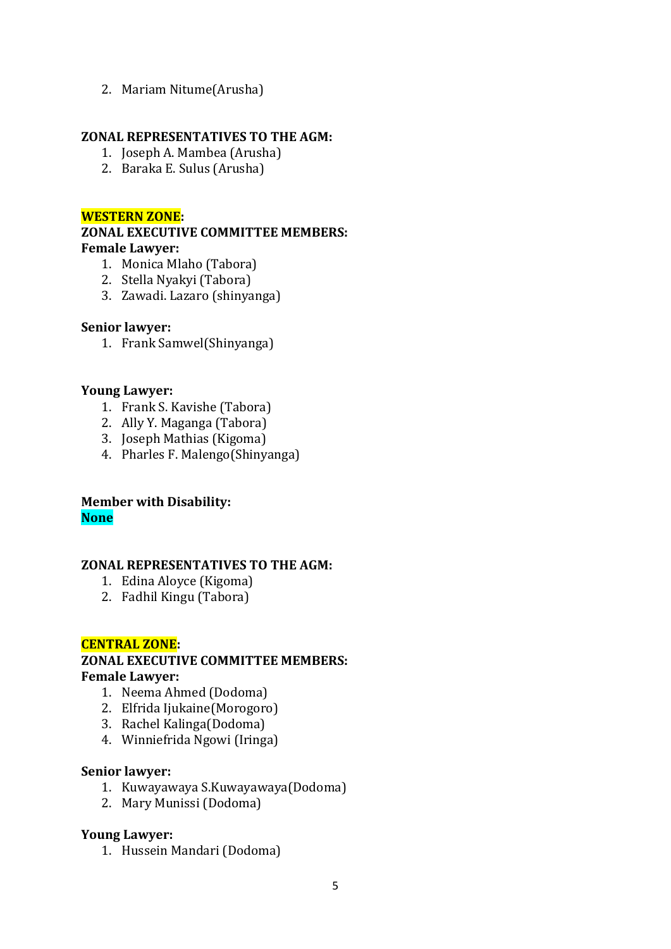## 2. Mariam Nitume(Arusha)

#### **ZONAL REPRESENTATIVES TO THE AGM:**

- 1. Joseph A. Mambea (Arusha)
- 2. Baraka E. Sulus (Arusha)

## **WESTERN ZONE:**

## **ZONAL EXECUTIVE COMMITTEE MEMBERS: Female Lawyer:**

- 1. Monica Mlaho (Tabora)
- 2. Stella Nyakyi (Tabora)
- 3. Zawadi. Lazaro (shinyanga)

## **Senior lawyer:**

1. Frank Samwel(Shinyanga)

## **Young Lawyer:**

- 1. Frank S. Kavishe (Tabora)
- 2. Ally Y. Maganga (Tabora)
- 3. Joseph Mathias (Kigoma)
- 4. Pharles F. Malengo(Shinyanga)

# **Member with Disability: None**

## **ZONAL REPRESENTATIVES TO THE AGM:**

- 1. Edina Aloyce (Kigoma)
- 2. Fadhil Kingu (Tabora)

## **CENTRAL ZONE:**

# **ZONAL EXECUTIVE COMMITTEE MEMBERS: Female Lawyer:**

- 1. Neema Ahmed (Dodoma)
- 2. Elfrida Ijukaine(Morogoro)
- 3. Rachel Kalinga(Dodoma)
- 4. Winniefrida Ngowi (Iringa)

#### **Senior lawyer:**

- 1. Kuwayawaya S.Kuwayawaya(Dodoma)
- 2. Mary Munissi (Dodoma)

#### **Young Lawyer:**

1. Hussein Mandari (Dodoma)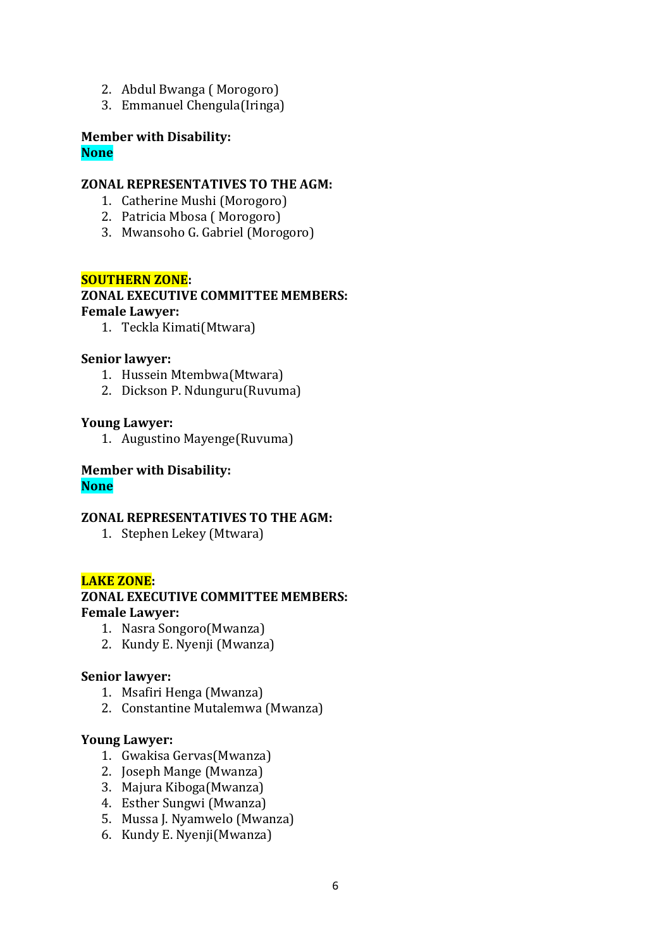- 2. Abdul Bwanga ( Morogoro)
- 3. Emmanuel Chengula(Iringa)

#### **Member with Disability: None**

#### **ZONAL REPRESENTATIVES TO THE AGM:**

- 1. Catherine Mushi (Morogoro)
- 2. Patricia Mbosa ( Morogoro)
- 3. Mwansoho G. Gabriel (Morogoro)

## **SOUTHERN ZONE:**

#### **ZONAL EXECUTIVE COMMITTEE MEMBERS: Female Lawyer:**

1. Teckla Kimati(Mtwara)

#### **Senior lawyer:**

- 1. Hussein Mtembwa(Mtwara)
- 2. Dickson P. Ndunguru(Ruvuma)

#### **Young Lawyer:**

1. Augustino Mayenge(Ruvuma)

#### **Member with Disability: None**

#### **ZONAL REPRESENTATIVES TO THE AGM:**

1. Stephen Lekey (Mtwara)

#### **LAKE ZONE:**

## **ZONAL EXECUTIVE COMMITTEE MEMBERS: Female Lawyer:**

- 1. Nasra Songoro(Mwanza)
- 2. Kundy E. Nyenji (Mwanza)

#### **Senior lawyer:**

- 1. Msafiri Henga (Mwanza)
- 2. Constantine Mutalemwa (Mwanza)

## **Young Lawyer:**

- 1. Gwakisa Gervas(Mwanza)
- 2. Joseph Mange (Mwanza)
- 3. Majura Kiboga(Mwanza)
- 4. Esther Sungwi (Mwanza)
- 5. Mussa J. Nyamwelo (Mwanza)
- 6. Kundy E. Nyenji(Mwanza)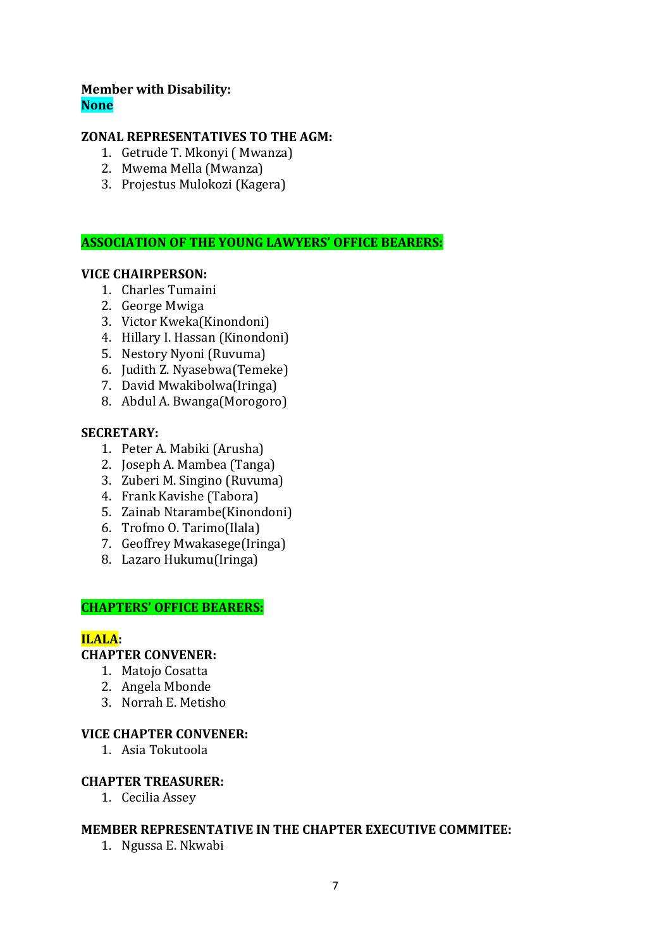# **Member with Disability: None**

## **ZONAL REPRESENTATIVES TO THE AGM:**

- 1. Getrude T. Mkonyi ( Mwanza)
- 2. Mwema Mella (Mwanza)
- 3. Projestus Mulokozi (Kagera)

## **ASSOCIATION OF THE YOUNG LAWYERS' OFFICE BEARERS:**

#### **VICE CHAIRPERSON:**

- 1. Charles Tumaini
- 2. George Mwiga
- 3. Victor Kweka(Kinondoni)
- 4. Hillary I. Hassan (Kinondoni)
- 5. Nestory Nyoni (Ruvuma)
- 6. Judith Z. Nyasebwa(Temeke)
- 7. David Mwakibolwa(Iringa)
- 8. Abdul A. Bwanga(Morogoro)

#### **SECRETARY:**

- 1. Peter A. Mabiki (Arusha)
- 2. Joseph A. Mambea (Tanga)
- 3. Zuberi M. Singino (Ruvuma)
- 4. Frank Kavishe (Tabora)
- 5. Zainab Ntarambe(Kinondoni)
- 6. Trofmo O. Tarimo(Ilala)
- 7. Geoffrey Mwakasege(Iringa)
- 8. Lazaro Hukumu(Iringa)

#### **CHAPTERS' OFFICE BEARERS:**

#### **ILALA:**

# **CHAPTER CONVENER:**

- 1. Matojo Cosatta
- 2. Angela Mbonde
- 3. Norrah E. Metisho

## **VICE CHAPTER CONVENER:**

1. Asia Tokutoola

#### **CHAPTER TREASURER:**

1. Cecilia Assey

#### **MEMBER REPRESENTATIVE IN THE CHAPTER EXECUTIVE COMMITEE:**

1. Ngussa E. Nkwabi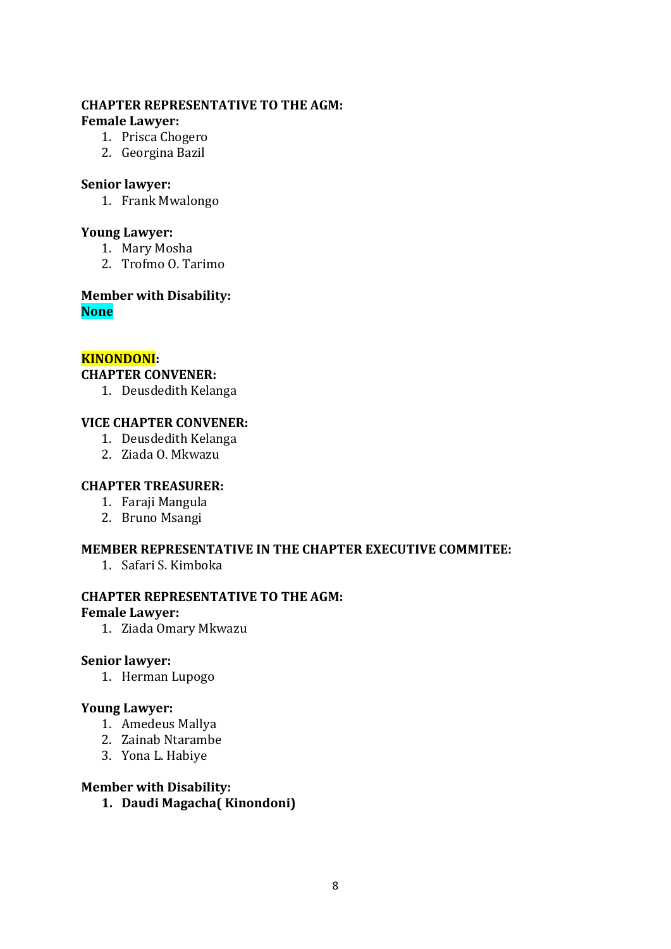## **CHAPTER REPRESENTATIVE TO THE AGM: Female Lawyer:**

- 1. Prisca Chogero
- 2. Georgina Bazil

## **Senior lawyer:**

1. Frank Mwalongo

## **Young Lawyer:**

- 1. Mary Mosha
- 2. Trofmo O. Tarimo

#### **Member with Disability: None**

# **KINONDONI:**

## **CHAPTER CONVENER:**

1. Deusdedith Kelanga

## **VICE CHAPTER CONVENER:**

- 1. Deusdedith Kelanga
- 2. Ziada O. Mkwazu

## **CHAPTER TREASURER:**

- 1. Faraji Mangula
- 2. Bruno Msangi

# **MEMBER REPRESENTATIVE IN THE CHAPTER EXECUTIVE COMMITEE:**

1. Safari S. Kimboka

#### **CHAPTER REPRESENTATIVE TO THE AGM:**

#### **Female Lawyer:**

1. Ziada Omary Mkwazu

#### **Senior lawyer:**

1. Herman Lupogo

## **Young Lawyer:**

- 1. Amedeus Mallya
- 2. Zainab Ntarambe
- 3. Yona L. Habiye

## **Member with Disability:**

**1. Daudi Magacha( Kinondoni)**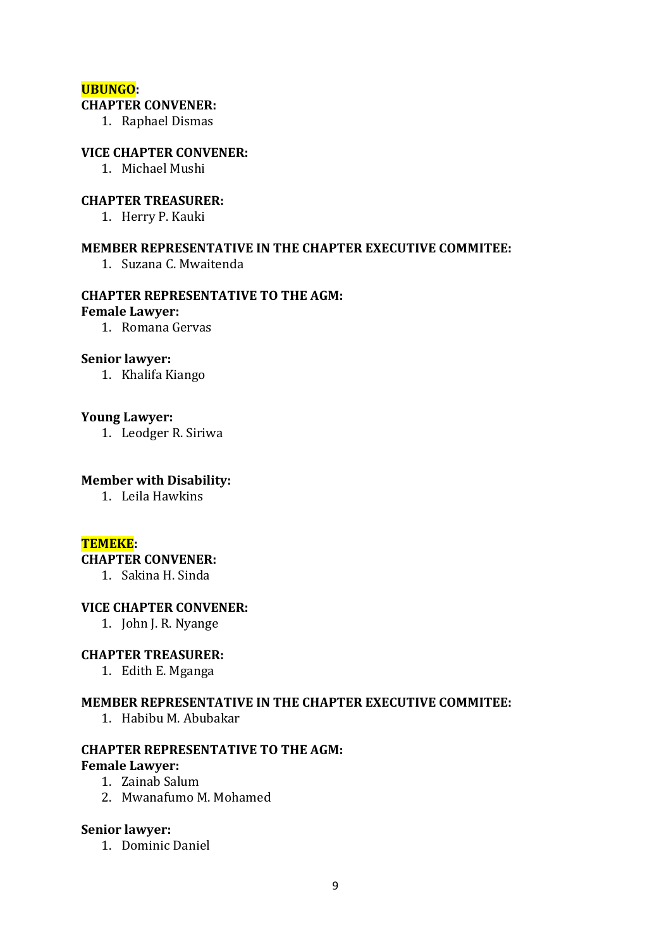#### **UBUNGO:**

# **CHAPTER CONVENER:**

1. Raphael Dismas

#### **VICE CHAPTER CONVENER:**

1. Michael Mushi

#### **CHAPTER TREASURER:**

1. Herry P. Kauki

#### **MEMBER REPRESENTATIVE IN THE CHAPTER EXECUTIVE COMMITEE:**

1. Suzana C. Mwaitenda

# **CHAPTER REPRESENTATIVE TO THE AGM:**

#### **Female Lawyer:**

1. Romana Gervas

#### **Senior lawyer:**

1. Khalifa Kiango

#### **Young Lawyer:**

1. Leodger R. Siriwa

#### **Member with Disability:**

1. Leila Hawkins

#### **TEMEKE:**

#### **CHAPTER CONVENER:**

1. Sakina H. Sinda

#### **VICE CHAPTER CONVENER:**

1. John J. R. Nyange

#### **CHAPTER TREASURER:**

1. Edith E. Mganga

#### **MEMBER REPRESENTATIVE IN THE CHAPTER EXECUTIVE COMMITEE:**

1. Habibu M. Abubakar

# **CHAPTER REPRESENTATIVE TO THE AGM:**

# **Female Lawyer:**

- 1. Zainab Salum
- 2. Mwanafumo M. Mohamed

#### **Senior lawyer:**

1. Dominic Daniel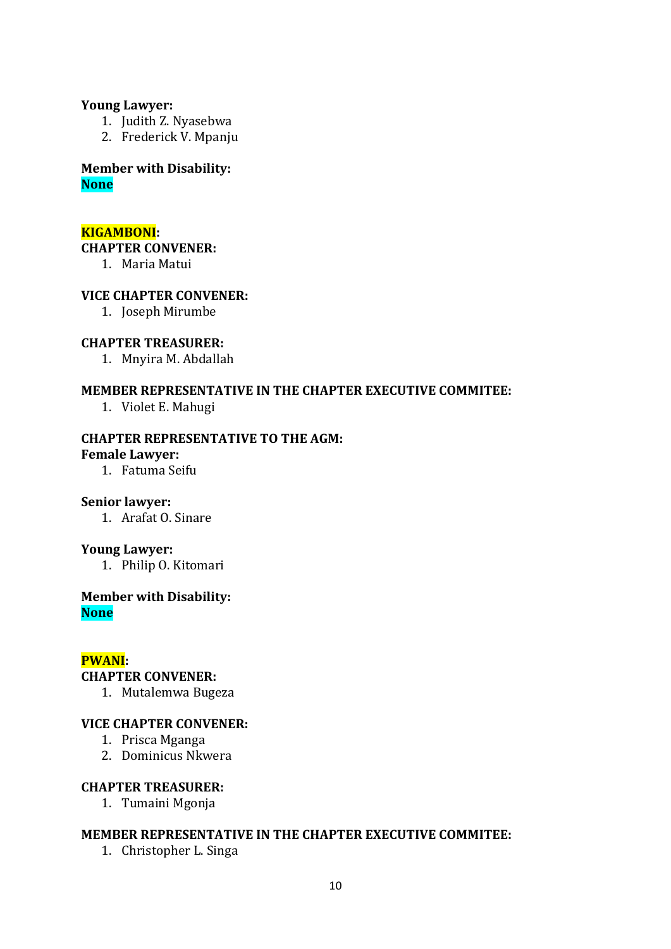#### **Young Lawyer:**

- 1. Judith Z. Nyasebwa
- 2. Frederick V. Mpanju

## **Member with Disability: None**

#### **KIGAMBONI:**

#### **CHAPTER CONVENER:**

1. Maria Matui

## **VICE CHAPTER CONVENER:**

1. Joseph Mirumbe

#### **CHAPTER TREASURER:**

1. Mnyira M. Abdallah

#### **MEMBER REPRESENTATIVE IN THE CHAPTER EXECUTIVE COMMITEE:**

1. Violet E. Mahugi

## **CHAPTER REPRESENTATIVE TO THE AGM:**

#### **Female Lawyer:**

1. Fatuma Seifu

## **Senior lawyer:**

1. Arafat O. Sinare

#### **Young Lawyer:**

1. Philip O. Kitomari

#### **Member with Disability: None**

## **PWANI:**

#### **CHAPTER CONVENER:**

1. Mutalemwa Bugeza

#### **VICE CHAPTER CONVENER:**

- 1. Prisca Mganga
- 2. Dominicus Nkwera

## **CHAPTER TREASURER:**

1. Tumaini Mgonja

## **MEMBER REPRESENTATIVE IN THE CHAPTER EXECUTIVE COMMITEE:**

1. Christopher L. Singa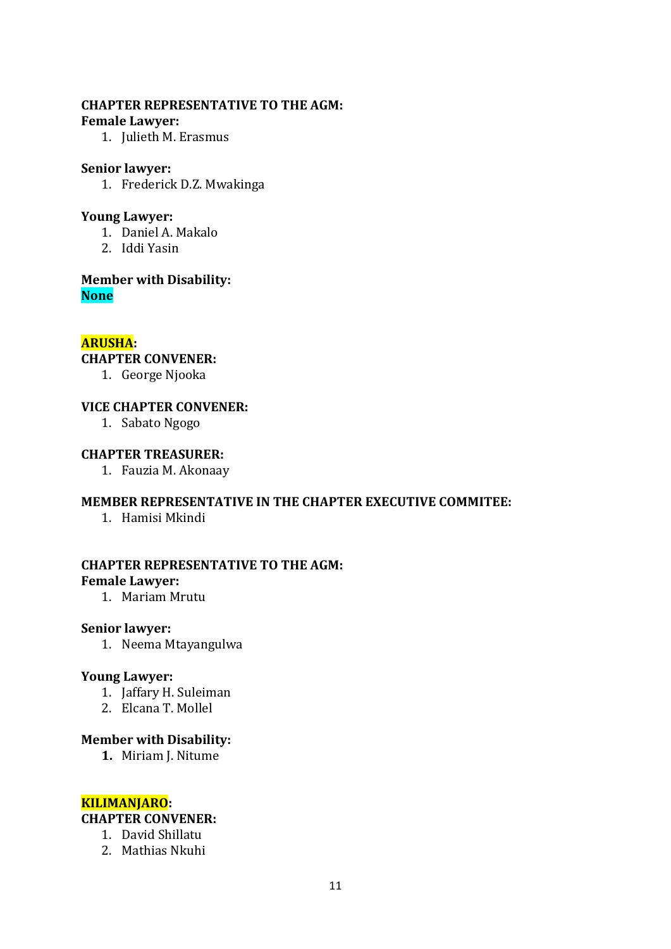#### **CHAPTER REPRESENTATIVE TO THE AGM: Female Lawyer:**

1. Julieth M. Erasmus

#### **Senior lawyer:**

1. Frederick D.Z. Mwakinga

## **Young Lawyer:**

- 1. Daniel A. Makalo
- 2. Iddi Yasin

**Member with Disability: None**

## **ARUSHA:**

**CHAPTER CONVENER:**

1. George Njooka

## **VICE CHAPTER CONVENER:**

1. Sabato Ngogo

## **CHAPTER TREASURER:**

1. Fauzia M. Akonaay

## **MEMBER REPRESENTATIVE IN THE CHAPTER EXECUTIVE COMMITEE:**

1. Hamisi Mkindi

## **CHAPTER REPRESENTATIVE TO THE AGM: Female Lawyer:**

1. Mariam Mrutu

#### **Senior lawyer:**

1. Neema Mtayangulwa

#### **Young Lawyer:**

- 1. Jaffary H. Suleiman
- 2. Elcana T. Mollel

## **Member with Disability:**

**1.** Miriam J. Nitume

# **KILIMANJARO:**

# **CHAPTER CONVENER:**

- 1. David Shillatu
- 2. Mathias Nkuhi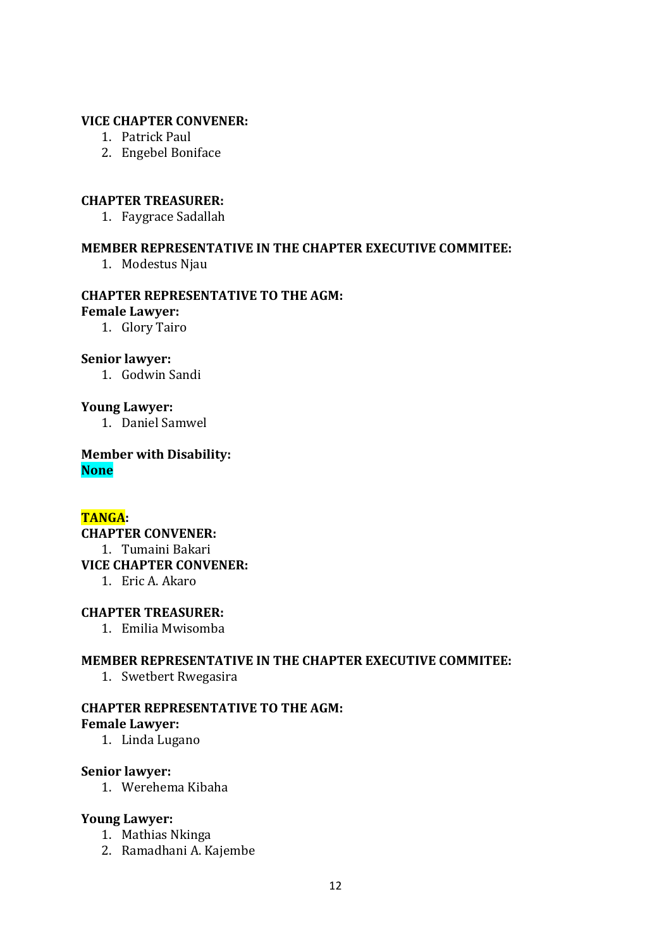#### **VICE CHAPTER CONVENER:**

- 1. Patrick Paul
- 2. Engebel Boniface

#### **CHAPTER TREASURER:**

1. Faygrace Sadallah

## **MEMBER REPRESENTATIVE IN THE CHAPTER EXECUTIVE COMMITEE:**

1. Modestus Njau

# **CHAPTER REPRESENTATIVE TO THE AGM:**

**Female Lawyer:**

1. Glory Tairo

#### **Senior lawyer:**

1. Godwin Sandi

## **Young Lawyer:**

1. Daniel Samwel

**Member with Disability: None**

# **TANGA:**

**CHAPTER CONVENER:** 1. Tumaini Bakari **VICE CHAPTER CONVENER:** 1. Eric A. Akaro

#### **CHAPTER TREASURER:**

1. Emilia Mwisomba

#### **MEMBER REPRESENTATIVE IN THE CHAPTER EXECUTIVE COMMITEE:**

1. Swetbert Rwegasira

#### **CHAPTER REPRESENTATIVE TO THE AGM: Female Lawyer:**

1. Linda Lugano

#### **Senior lawyer:**

1. Werehema Kibaha

#### **Young Lawyer:**

- 1. Mathias Nkinga
- 2. Ramadhani A. Kajembe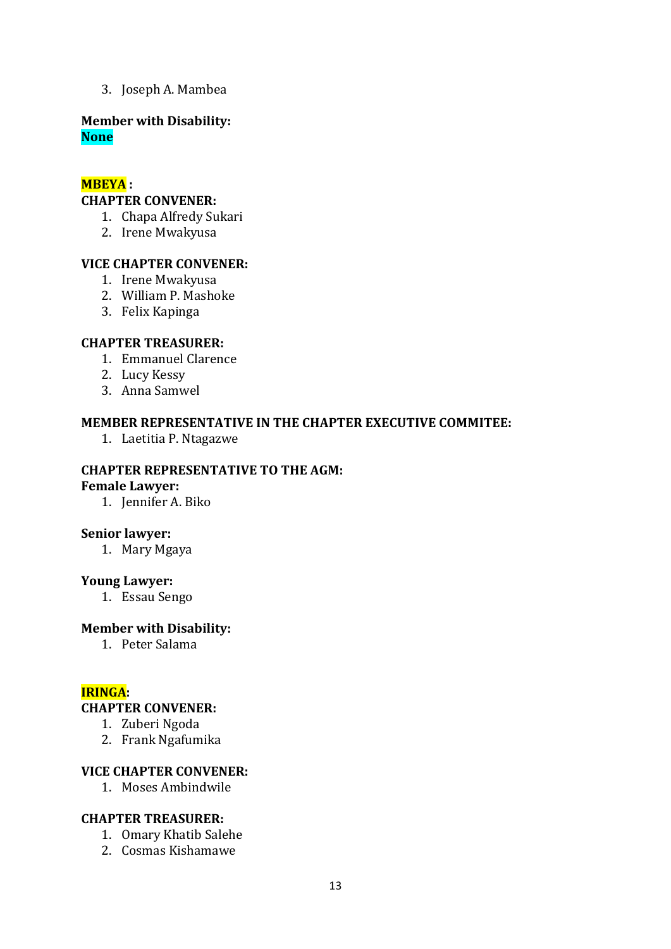3. Joseph A. Mambea

#### **Member with Disability: None**

#### **MBEYA :**

#### **CHAPTER CONVENER:**

- 1. Chapa Alfredy Sukari
- 2. Irene Mwakyusa

## **VICE CHAPTER CONVENER:**

- 1. Irene Mwakyusa
- 2. William P. Mashoke
- 3. Felix Kapinga

## **CHAPTER TREASURER:**

- 1. Emmanuel Clarence
- 2. Lucy Kessy
- 3. Anna Samwel

#### **MEMBER REPRESENTATIVE IN THE CHAPTER EXECUTIVE COMMITEE:**

1. Laetitia P. Ntagazwe

# **CHAPTER REPRESENTATIVE TO THE AGM:**

#### **Female Lawyer:**

1. Jennifer A. Biko

#### **Senior lawyer:**

1. Mary Mgaya

#### **Young Lawyer:**

1. Essau Sengo

#### **Member with Disability:**

1. Peter Salama

## **IRINGA:**

#### **CHAPTER CONVENER:**

- 1. Zuberi Ngoda
- 2. Frank Ngafumika

# **VICE CHAPTER CONVENER:**

1. Moses Ambindwile

#### **CHAPTER TREASURER:**

- 1. Omary Khatib Salehe
- 2. Cosmas Kishamawe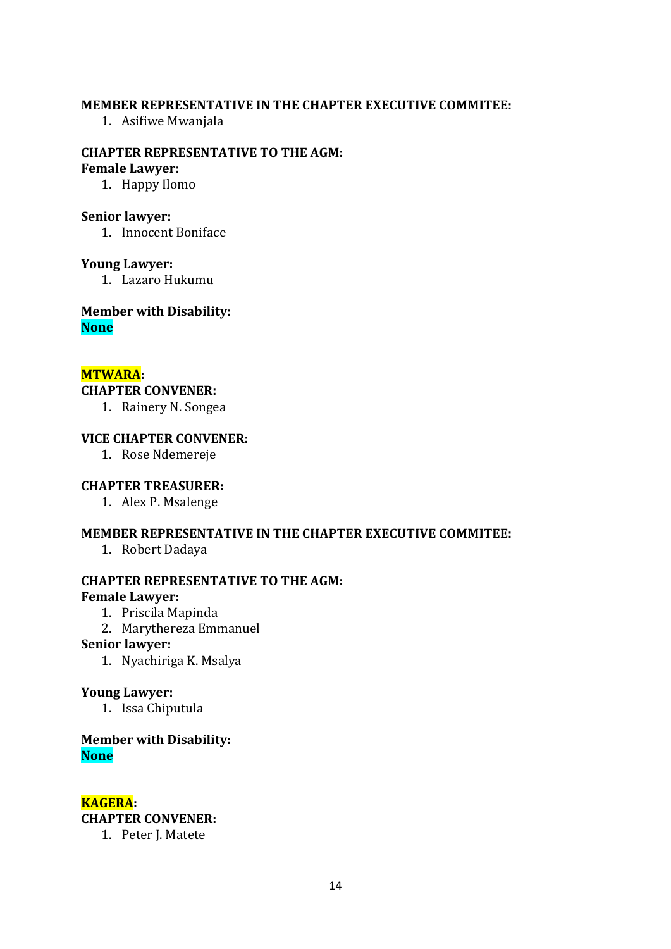#### **MEMBER REPRESENTATIVE IN THE CHAPTER EXECUTIVE COMMITEE:**

1. Asifiwe Mwanjala

# **CHAPTER REPRESENTATIVE TO THE AGM:**

# **Female Lawyer:**

1. Happy Ilomo

#### **Senior lawyer:**

1. Innocent Boniface

#### **Young Lawyer:**

1. Lazaro Hukumu

## **Member with Disability: None**

#### **MTWARA:**

# **CHAPTER CONVENER:**

1. Rainery N. Songea

## **VICE CHAPTER CONVENER:**

1. Rose Ndemereje

#### **CHAPTER TREASURER:**

1. Alex P. Msalenge

#### **MEMBER REPRESENTATIVE IN THE CHAPTER EXECUTIVE COMMITEE:**

1. Robert Dadaya

# **CHAPTER REPRESENTATIVE TO THE AGM:**

#### **Female Lawyer:**

- 1. Priscila Mapinda
- 2. Marythereza Emmanuel

#### **Senior lawyer:**

1. Nyachiriga K. Msalya

#### **Young Lawyer:**

1. Issa Chiputula

## **Member with Disability: None**

**KAGERA: CHAPTER CONVENER:**

1. Peter J. Matete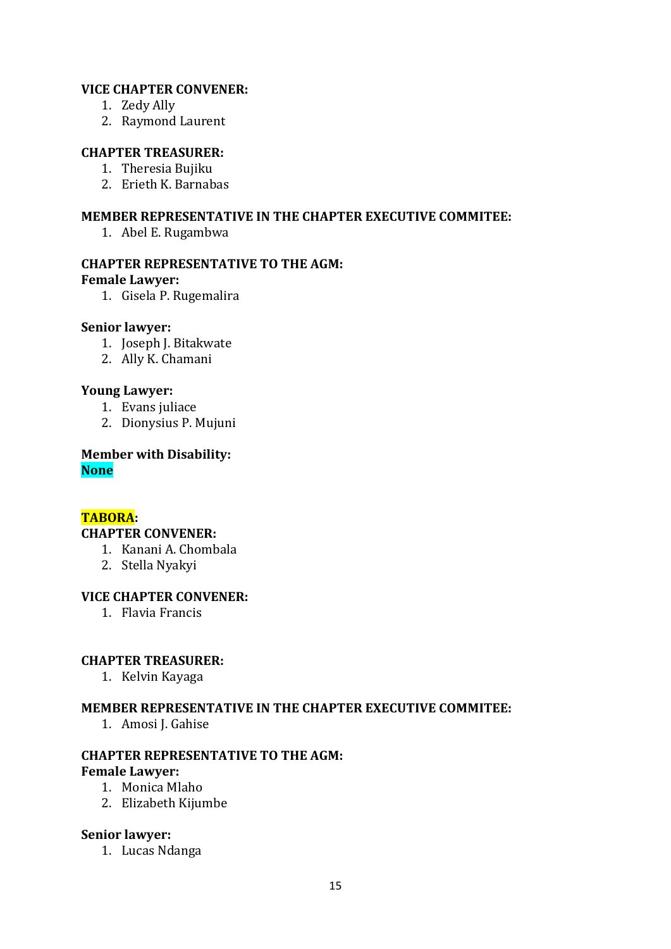## **VICE CHAPTER CONVENER:**

- 1. Zedy Ally
- 2. Raymond Laurent

## **CHAPTER TREASURER:**

- 1. Theresia Bujiku
- 2. Erieth K. Barnabas

## **MEMBER REPRESENTATIVE IN THE CHAPTER EXECUTIVE COMMITEE:**

1. Abel E. Rugambwa

## **CHAPTER REPRESENTATIVE TO THE AGM:**

#### **Female Lawyer:**

1. Gisela P. Rugemalira

#### **Senior lawyer:**

- 1. Joseph J. Bitakwate
- 2. Ally K. Chamani

# **Young Lawyer:**

- 1. Evans juliace
- 2. Dionysius P. Mujuni

**Member with Disability: None**

# **TABORA:**

## **CHAPTER CONVENER:**

- 1. Kanani A. Chombala
- 2. Stella Nyakyi

#### **VICE CHAPTER CONVENER:**

1. Flavia Francis

# **CHAPTER TREASURER:**

1. Kelvin Kayaga

#### **MEMBER REPRESENTATIVE IN THE CHAPTER EXECUTIVE COMMITEE:**

1. Amosi J. Gahise

#### **CHAPTER REPRESENTATIVE TO THE AGM: Female Lawyer:**

- 1. Monica Mlaho
- 2. Elizabeth Kijumbe

#### **Senior lawyer:**

1. Lucas Ndanga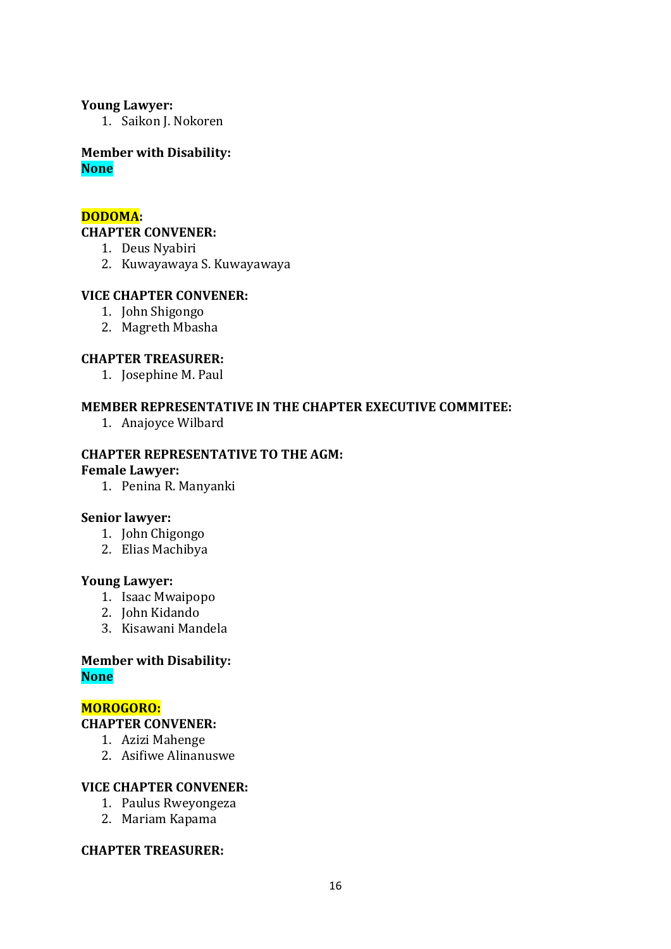#### **Young Lawyer:**

1. Saikon J. Nokoren

**Member with Disability: None**

## **DODOMA:**

#### **CHAPTER CONVENER:**

- 1. Deus Nyabiri
- 2. Kuwayawaya S. Kuwayawaya

#### **VICE CHAPTER CONVENER:**

- 1. John Shigongo
- 2. Magreth Mbasha

#### **CHAPTER TREASURER:**

1. Josephine M. Paul

#### **MEMBER REPRESENTATIVE IN THE CHAPTER EXECUTIVE COMMITEE:**

1. Anajoyce Wilbard

# **CHAPTER REPRESENTATIVE TO THE AGM:**

#### **Female Lawyer:**

1. Penina R. Manyanki

#### **Senior lawyer:**

- 1. John Chigongo
- 2. Elias Machibya

#### **Young Lawyer:**

- 1. Isaac Mwaipopo
- 2. John Kidando
- 3. Kisawani Mandela

#### **Member with Disability: None**

## **MOROGORO:**

# **CHAPTER CONVENER:**

- 1. Azizi Mahenge
- 2. Asifiwe Alinanuswe

#### **VICE CHAPTER CONVENER:**

- 1. Paulus Rweyongeza
- 2. Mariam Kapama

#### **CHAPTER TREASURER:**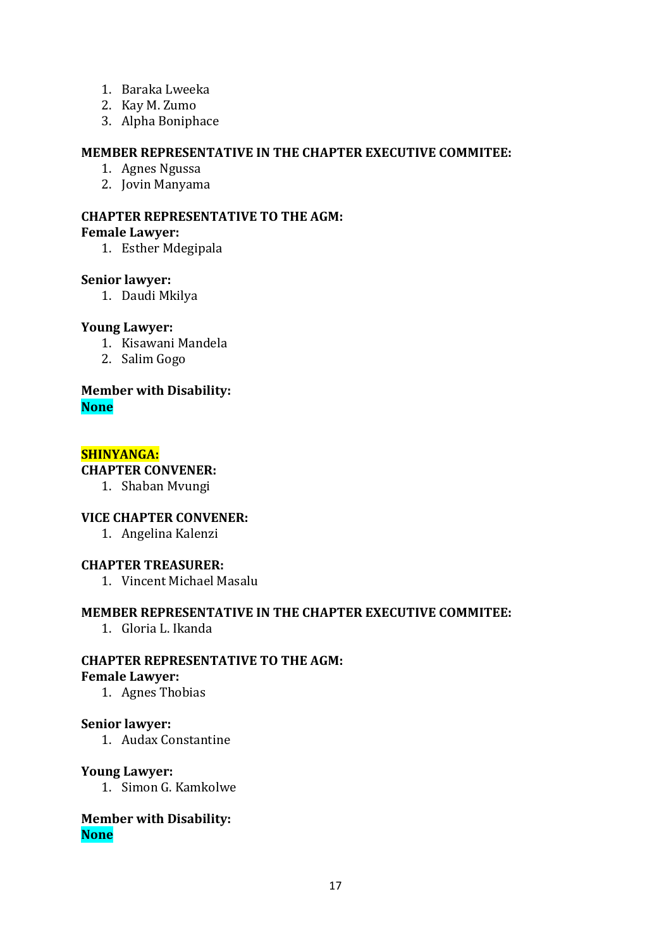- 1. Baraka Lweeka
- 2. Kay M. Zumo
- 3. Alpha Boniphace

## **MEMBER REPRESENTATIVE IN THE CHAPTER EXECUTIVE COMMITEE:**

- 1. Agnes Ngussa
- 2. Jovin Manyama

# **CHAPTER REPRESENTATIVE TO THE AGM: Female Lawyer:**

1. Esther Mdegipala

#### **Senior lawyer:**

1. Daudi Mkilya

## **Young Lawyer:**

- 1. Kisawani Mandela
- 2. Salim Gogo

#### **Member with Disability: None**

#### **SHINYANGA:**

#### **CHAPTER CONVENER:**

1. Shaban Mvungi

#### **VICE CHAPTER CONVENER:**

1. Angelina Kalenzi

#### **CHAPTER TREASURER:**

1. Vincent Michael Masalu

## **MEMBER REPRESENTATIVE IN THE CHAPTER EXECUTIVE COMMITEE:**

1. Gloria L. Ikanda

# **CHAPTER REPRESENTATIVE TO THE AGM:**

#### **Female Lawyer:**

1. Agnes Thobias

#### **Senior lawyer:**

1. Audax Constantine

#### **Young Lawyer:**

1. Simon G. Kamkolwe

## **Member with Disability: None**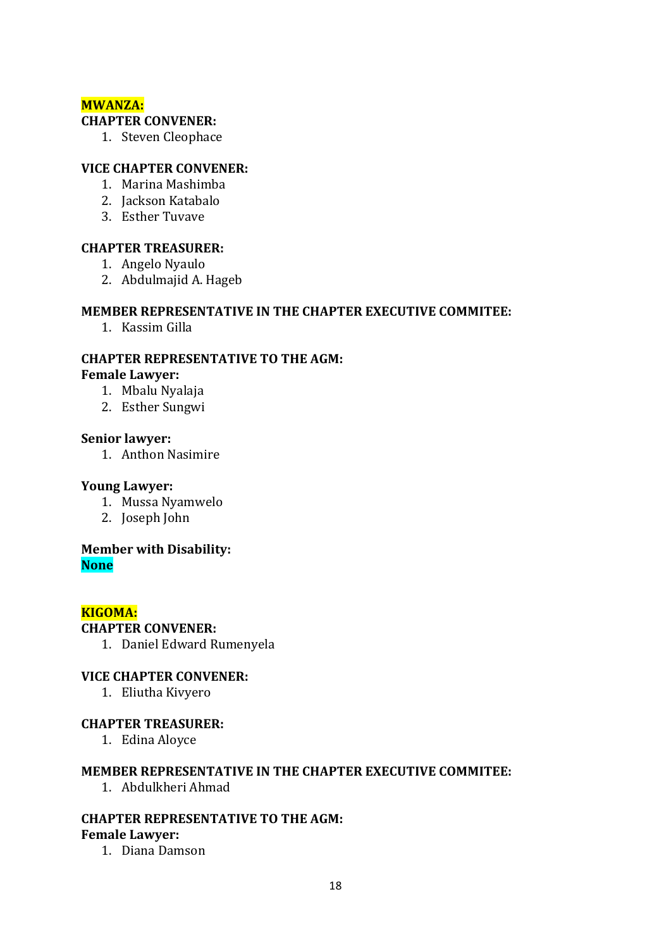# **MWANZA:**

#### **CHAPTER CONVENER:**

1. Steven Cleophace

## **VICE CHAPTER CONVENER:**

- 1. Marina Mashimba
- 2. Jackson Katabalo
- 3. Esther Tuvave

## **CHAPTER TREASURER:**

- 1. Angelo Nyaulo
- 2. Abdulmajid A. Hageb

## **MEMBER REPRESENTATIVE IN THE CHAPTER EXECUTIVE COMMITEE:**

1. Kassim Gilla

#### **CHAPTER REPRESENTATIVE TO THE AGM: Female Lawyer:**

- 1. Mbalu Nyalaja
- 2. Esther Sungwi

#### **Senior lawyer:**

1. Anthon Nasimire

#### **Young Lawyer:**

- 1. Mussa Nyamwelo
- 2. Joseph John

#### **Member with Disability: None**

#### **KIGOMA:**

#### **CHAPTER CONVENER:**

1. Daniel Edward Rumenyela

#### **VICE CHAPTER CONVENER:**

1. Eliutha Kivyero

#### **CHAPTER TREASURER:**

1. Edina Aloyce

## **MEMBER REPRESENTATIVE IN THE CHAPTER EXECUTIVE COMMITEE:**

1. Abdulkheri Ahmad

#### **CHAPTER REPRESENTATIVE TO THE AGM: Female Lawyer:**

1. Diana Damson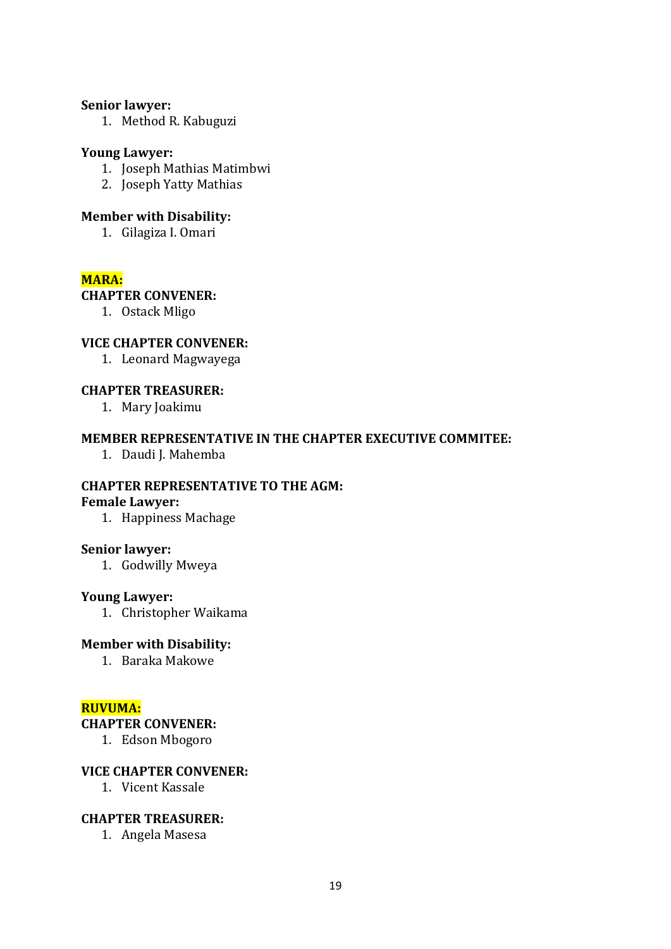#### **Senior lawyer:**

1. Method R. Kabuguzi

#### **Young Lawyer:**

- 1. Joseph Mathias Matimbwi
- 2. Joseph Yatty Mathias

#### **Member with Disability:**

1. Gilagiza I. Omari

# **MARA:**

#### **CHAPTER CONVENER:**

1. Ostack Mligo

## **VICE CHAPTER CONVENER:**

1. Leonard Magwayega

## **CHAPTER TREASURER:**

1. Mary Joakimu

#### **MEMBER REPRESENTATIVE IN THE CHAPTER EXECUTIVE COMMITEE:**

1. Daudi J. Mahemba

#### **CHAPTER REPRESENTATIVE TO THE AGM:**

#### **Female Lawyer:**

1. Happiness Machage

#### **Senior lawyer:**

1. Godwilly Mweya

#### **Young Lawyer:**

1. Christopher Waikama

#### **Member with Disability:**

1. Baraka Makowe

#### **RUVUMA:**

#### **CHAPTER CONVENER:**

1. Edson Mbogoro

#### **VICE CHAPTER CONVENER:**

1. Vicent Kassale

#### **CHAPTER TREASURER:**

1. Angela Masesa